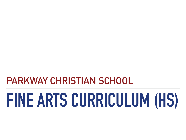## **PARKWAY CHRISTIAN SCHOOL**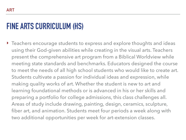‣ Teachers encourage students to express and explore thoughts and ideas using their God-given abilities while creating in the visual arts. Teachers present the comprehensive art program from a Biblical Worldview while meeting state standards and benchmarks. Educators designed the course to meet the needs of all high school students who would like to create art. Students cultivate a passion for individual ideas and expression, while making quality works of art. Whether the student is new to art and learning foundational methods or is advanced in his or her skills and preparing a portfolio for college admissions, this class challenges all. Areas of study include drawing, painting, design, ceramics, sculpture, fiber art, and animation. Students meet four periods a week along with two additional opportunities per week for art-extension classes.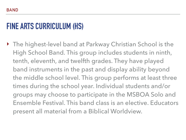‣ The highest-level band at Parkway Christian School is the High School Band. This group includes students in ninth, tenth, eleventh, and twelfth grades. They have played band instruments in the past and display ability beyond the middle school level. This group performs at least three times during the school year. Individual students and/or groups may choose to participate in the MSBOA Solo and Ensemble Festival. This band class is an elective. Educators present all material from a Biblical Worldview.